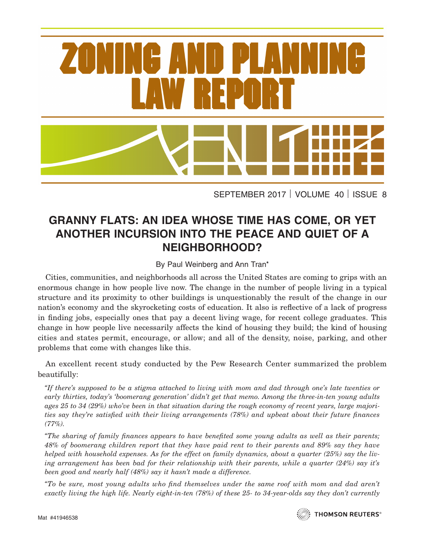

SEPTEMBER 2017 VOLUME 40 ISSUE 8

## **GRANNY FLATS: AN IDEA WHOSE TIME HAS COME, OR YET ANOTHER INCURSION INTO THE PEACE AND QUIET OF A NEIGHBORHOOD?**

## By Paul Weinberg and Ann Tran**\***

Cities, communities, and neighborhoods all across the United States are coming to grips with an enormous change in how people live now. The change in the number of people living in a typical structure and its proximity to other buildings is unquestionably the result of the change in our nation's economy and the skyrocketing costs of education. It also is reflective of a lack of progress in finding jobs, especially ones that pay a decent living wage, for recent college graduates. This change in how people live necessarily affects the kind of housing they build; the kind of housing cities and states permit, encourage, or allow; and all of the density, noise, parking, and other problems that come with changes like this.

An excellent recent study conducted by the Pew Research Center summarized the problem beautifully:

*"If there's supposed to be a stigma attached to living with mom and dad through one's late twenties or early thirties, today's 'boomerang generation' didn't get that memo. Among the three-in-ten young adults ages 25 to 34 (29%) who've been in that situation during the rough economy of recent years, large majorities say they're satisfied with their living arrangements (78%) and upbeat about their future finances (77%).*

*"The sharing of family finances appears to have benefited some young adults as well as their parents; 48% of boomerang children report that they have paid rent to their parents and 89% say they have helped with household expenses. As for the effect on family dynamics, about a quarter (25%) say the living arrangement has been bad for their relationship with their parents, while a quarter (24%) say it's been good and nearly half (48%) say it hasn't made a difference.*

*"To be sure, most young adults who find themselves under the same roof with mom and dad aren't exactly living the high life. Nearly eight-in-ten (78%) of these 25- to 34-year-olds say they don't currently*

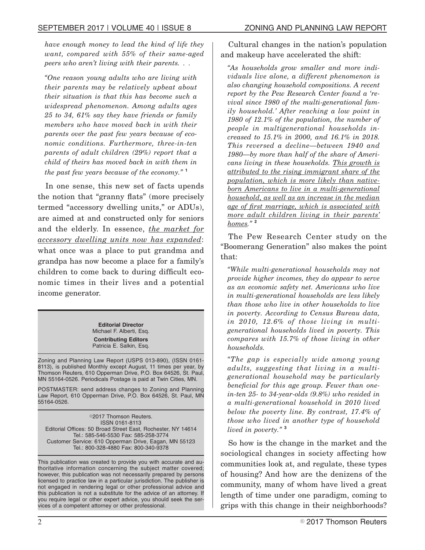*have enough money to lead the kind of life they want, compared with 55% of their same-aged peers who aren't living with their parents. . .*

*"One reason young adults who are living with their parents may be relatively upbeat about their situation is that this has become such a widespread phenomenon. Among adults ages 25 to 34, 61% say they have friends or family members who have moved back in with their parents over the past few years because of economic conditions. Furthermore, three-in-ten parents of adult children (29%) report that a child of theirs has moved back in with them in the past few years because of the economy."* **<sup>1</sup>**

In one sense, this new set of facts upends the notion that "granny flats" (more precisely termed "accessory dwelling units," or ADUs), are aimed at and constructed only for seniors and the elderly. In essence, *the market for accessory dwelling units now has expanded*: what once was a place to put grandma and grandpa has now become a place for a family's children to come back to during difficult economic times in their lives and a potential income generator.

> **Editorial Director** Michael F. Alberti, Esq. **Contributing Editors** Patricia E. Salkin, Esq.

Zoning and Planning Law Report (USPS 013-890), (ISSN 0161- 8113), is published Monthly except August, 11 times per year, by Thomson Reuters, 610 Opperman Drive, P.O. Box 64526, St. Paul, MN 55164-0526. Periodicals Postage is paid at Twin Cities, MN.

POSTMASTER: send address changes to Zoning and Planning Law Report, 610 Opperman Drive, P.O. Box 64526, St. Paul, MN 55164-0526.

©2017 Thomson Reuters. ISSN 0161-8113 Editorial Offices: 50 Broad Street East, Rochester, NY 14614 Tel.: 585-546-5530 Fax: 585-258-3774 Customer Service: 610 Opperman Drive, Eagan, MN 55123 Tel.: 800-328-4880 Fax: 800-340-9378

This publication was created to provide you with accurate and authoritative information concerning the subject matter covered; however, this publication was not necessarily prepared by persons licensed to practice law in a particular jurisdiction. The publisher is not engaged in rendering legal or other professional advice and this publication is not a substitute for the advice of an attorney. If you require legal or other expert advice, you should seek the services of a competent attorney or other professional.

Cultural changes in the nation's population and makeup have accelerated the shift:

*"As households grow smaller and more individuals live alone, a different phenomenon is also changing household compositions. A recent report by the Pew Research Center found a 'revival since 1980 of the multi-generational family household.' After reaching a low point in 1980 of 12.1% of the population, the number of people in multigenerational households increased to 15.1% in 2000, and 16.1% in 2018. This reversed a decline—between 1940 and 1980—by more than half of the share of Americans living in these households. This growth is attributed to the rising immigrant share of the population, which is more likely than nativeborn Americans to live in a multi-generational household, as well as an increase in the median age of first marriage, which is associated with more adult children living in their parents' homes."* **<sup>2</sup>**

The Pew Research Center study on the "Boomerang Generation" also makes the point that:

*"While multi-generational households may not provide higher incomes, they do appear to serve as an economic safety net. Americans who live in multi-generational households are less likely than those who live in other households to live in poverty. According to Census Bureau data, in 2010, 12.6% of those living in multigenerational households lived in poverty. This compares with 15.7% of those living in other households.*

*"The gap is especially wide among young adults, suggesting that living in a multigenerational household may be particularly beneficial for this age group. Fewer than onein-ten 25- to 34-year-olds (9.8%) who resided in a multi-generational household in 2010 lived below the poverty line. By contrast, 17.4% of those who lived in another type of household lived in poverty."* **<sup>3</sup>**

So how is the change in the market and the sociological changes in society affecting how communities look at, and regulate, these types of housing? And how are the denizens of the community, many of whom have lived a great length of time under one paradigm, coming to grips with this change in their neighborhoods?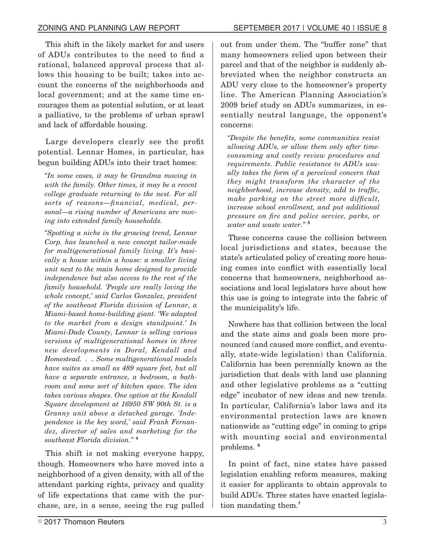This shift in the likely market for and users of ADUs contributes to the need to find a rational, balanced approval process that allows this housing to be built; takes into account the concerns of the neighborhoods and local government; and at the same time encourages them as potential solution, or at least a palliative, to the problems of urban sprawl and lack of affordable housing.

Large developers clearly see the profit potential. Lennar Homes, in particular, has begun building ADUs into their tract homes:

*"In some cases, it may be Grandma moving in with the family. Other times, it may be a recent college graduate returning to the nest. For all sorts of reasons—financial, medical, personal—a rising number of Americans are moving into extended family households.*

*"Spotting a niche in the growing trend, Lennar Corp. has launched a new concept tailor-made for multigenerational family living. It's basically a house within a house: a smaller living unit next to the main home designed to provide independence but also access to the rest of the family household. 'People are really loving the whole concept,' said Carlos Gonzalez, president of the southeast Florida division of Lennar, a Miami-based home-building giant. 'We adapted to the market from a design standpoint.' In Miami-Dade County, Lennar is selling various versions of multigenerational homes in three new developments in Doral, Kendall and Homestead. . .. Some multigenerational models have suites as small as 489 square feet, but all have a separate entrance, a bedroom, a bathroom and some sort of kitchen space. The idea takes various shapes. One option at the Kendall Square development at 16950 SW 90th St. is a Granny unit above a detached garage. 'Independence is the key word,' said Frank Fernandez, director of sales and marketing for the southeast Florida division."* **<sup>4</sup>**

This shift is not making everyone happy, though. Homeowners who have moved into a neighborhood of a given density, with all of the attendant parking rights, privacy and quality of life expectations that came with the purchase, are, in a sense, seeing the rug pulled

out from under them. The "buffer zone" that many homeowners relied upon between their parcel and that of the neighbor is suddenly abbreviated when the neighbor constructs an ADU very close to the homeowner's property line. The American Planning Association's 2009 brief study on ADUs summarizes, in essentially neutral language, the opponent's concerns:

*"Despite the benefits, some communities resist allowing ADUs, or allow them only after timeconsuming and costly review procedures and requirements. Public resistance to ADUs usually takes the form of a perceived concern that they might transform the character of the neighborhood, increase density, add to traffic, make parking on the street more difficult, increase school enrollment, and put additional pressure on fire and police service, parks, or water and waste water."* **<sup>5</sup>**

These concerns cause the collision between local jurisdictions and states, because the state's articulated policy of creating more housing comes into conflict with essentially local concerns that homeowners, neighborhood associations and local legislators have about how this use is going to integrate into the fabric of the municipality's life.

Nowhere has that collision between the local and the state aims and goals been more pronounced (and caused more conflict, and eventually, state-wide legislation) than California. California has been perennially known as the jurisdiction that deals with land use planning and other legislative problems as a "cutting edge" incubator of new ideas and new trends. In particular, California's labor laws and its environmental protection laws are known nationwide as "cutting edge" in coming to grips with mounting social and environmental problems. **<sup>6</sup>**

In point of fact, nine states have passed legislation enabling reform measures, making it easier for applicants to obtain approvals to build ADUs. Three states have enacted legislation mandating them.**<sup>7</sup>**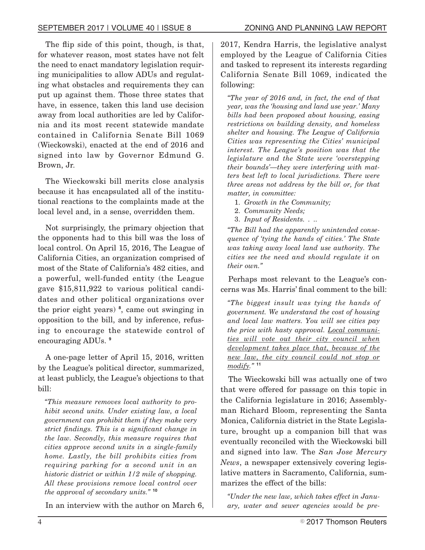The flip side of this point, though, is that, for whatever reason, most states have not felt the need to enact mandatory legislation requiring municipalities to allow ADUs and regulating what obstacles and requirements they can put up against them. Those three states that have, in essence, taken this land use decision away from local authorities are led by California and its most recent statewide mandate contained in California Senate Bill 1069 (Wieckowski), enacted at the end of 2016 and signed into law by Governor Edmund G. Brown, Jr.

The Wieckowski bill merits close analysis because it has encapsulated all of the institutional reactions to the complaints made at the local level and, in a sense, overridden them.

Not surprisingly, the primary objection that the opponents had to this bill was the loss of local control. On April 15, 2016, The League of California Cities, an organization comprised of most of the State of California's 482 cities, and a powerful, well-funded entity (the League gave \$15,811,922 to various political candidates and other political organizations over the prior eight years) **<sup>8</sup>** , came out swinging in opposition to the bill, and by inference, refusing to encourage the statewide control of encouraging ADUs. **<sup>9</sup>**

A one-page letter of April 15, 2016, written by the League's political director, summarized, at least publicly, the League's objections to that bill:

*"This measure removes local authority to prohibit second units. Under existing law, a local government can prohibit them if they make very strict findings. This is a significant change in the law. Secondly, this measure requires that cities approve second units in a single-family home. Lastly, the bill prohibits cities from requiring parking for a second unit in an historic district or within 1/2 mile of shopping. All these provisions remove local control over the approval of secondary units."* **<sup>10</sup>**

In an interview with the author on March 6,

2017, Kendra Harris, the legislative analyst employed by the League of California Cities and tasked to represent its interests regarding California Senate Bill 1069, indicated the following:

*"The year of 2016 and, in fact, the end of that year, was the 'housing and land use year.' Many bills had been proposed about housing, easing restrictions on building density, and homeless shelter and housing. The League of California Cities was representing the Cities' municipal interest. The League's position was that the legislature and the State were 'overstepping their bounds'—they were interfering with matters best left to local jurisdictions. There were three areas not address by the bill or, for that matter, in committee:*

- 1. *Growth in the Community;*
- 2. *Community Needs;*
- 3. *Input of Residents. . ..*

*"The Bill had the apparently unintended consequence of 'tying the hands of cities.' The State was taking away local land use authority. The cities see the need and should regulate it on their own."*

Perhaps most relevant to the League's concerns was Ms. Harris' final comment to the bill:

*"The biggest insult was tying the hands of government. We understand the cost of housing and local law matters. You will see cities pay the price with hasty approval. Local communities will vote out their city council when development takes place that, because of the new law, the city council could not stop or modify."* **<sup>11</sup>**

The Wieckowski bill was actually one of two that were offered for passage on this topic in the California legislature in 2016; Assemblyman Richard Bloom, representing the Santa Monica, California district in the State Legislature, brought up a companion bill that was eventually reconciled with the Wieckowski bill and signed into law. The *San Jose Mercury News*, a newspaper extensively covering legislative matters in Sacramento, California, summarizes the effect of the bills:

*"Under the new law, which takes effect in January, water and sewer agencies would be pre-*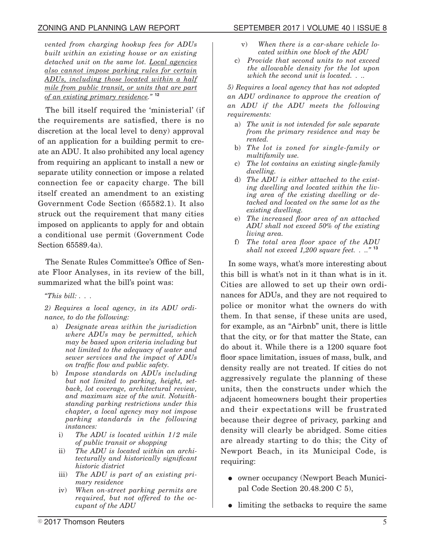*vented from charging hookup fees for ADUs built within an existing house or an existing detached unit on the same lot. Local agencies also cannot impose parking rules for certain ADUs, including those located within a half mile from public transit, or units that are part of an existing primary residence."* **<sup>12</sup>**

The bill itself required the 'ministerial' (if the requirements are satisfied, there is no discretion at the local level to deny) approval of an application for a building permit to create an ADU. It also prohibited any local agency from requiring an applicant to install a new or separate utility connection or impose a related connection fee or capacity charge. The bill itself created an amendment to an existing Government Code Section (65582.1). It also struck out the requirement that many cities imposed on applicants to apply for and obtain a conditional use permit (Government Code Section 65589.4a).

The Senate Rules Committee's Office of Senate Floor Analyses, in its review of the bill, summarized what the bill's point was:

*"This bill: . . .*

*2) Requires a local agency, in its ADU ordinance, to do the following:*

- a) *Designate areas within the jurisdiction where ADUs may be permitted, which may be based upon criteria including but not limited to the adequacy of water and sewer services and the impact of ADUs on traffic flow and public safety.*
- b) *Impose standards on ADUs including but not limited to parking, height, setback, lot coverage, architectural review, and maximum size of the unit. Notwithstanding parking restrictions under this chapter, a local agency may not impose parking standards in the following instances:*
	- i) *The ADU is located within 1/2 mile of public transit or shopping*
	- ii) *The ADU is located within an architecturally and historically significant historic district*
	- iii) *The ADU is part of an existing primary residence*
	- iv) *When on-street parking permits are required, but not offered to the occupant of the ADU*
- v) *When there is a car-share vehicle located within one block of the ADU*
- c) *Provide that second units to not exceed the allowable density for the lot upon which the second unit is located. . ..*

*5) Requires a local agency that has not adopted an ADU ordinance to approve the creation of an ADU if the ADU meets the following requirements:*

- a) *The unit is not intended for sale separate from the primary residence and may be rented.*
- b) *The lot is zoned for single-family or multifamily use.*
- c) *The lot contains an existing single-family dwelling.*
- d) *The ADU is either attached to the existing dwelling and located within the living area of the existing dwelling or detached and located on the same lot as the existing dwelling.*
- e) *The increased floor area of an attached ADU shall not exceed 50% of the existing living area.*
- f) *The total area floor space of the ADU shall not exceed 1,200 square feet. . .."* **<sup>13</sup>**

In some ways, what's more interesting about this bill is what's not in it than what is in it. Cities are allowed to set up their own ordinances for ADUs, and they are not required to police or monitor what the owners do with them. In that sense, if these units are used, for example, as an "Airbnb" unit, there is little that the city, or for that matter the State, can do about it. While there is a 1200 square foot floor space limitation, issues of mass, bulk, and density really are not treated. If cities do not aggressively regulate the planning of these units, then the constructs under which the adjacent homeowners bought their properties and their expectations will be frustrated because their degree of privacy, parking and density will clearly be abridged. Some cities are already starting to do this; the City of Newport Beach, in its Municipal Code, is requiring:

- owner occupancy (Newport Beach Municipal Code Section 20.48.200 C 5),
- limiting the setbacks to require the same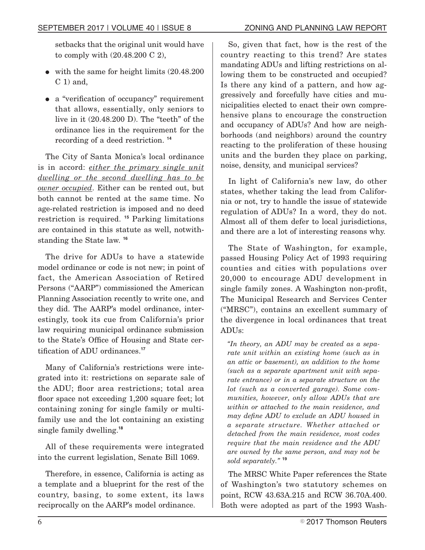setbacks that the original unit would have to comply with (20.48.200 C 2),

- with the same for height limits  $(20.48.200)$  $C_1$ ) and,
- a "verification of occupancy" requirement that allows, essentially, only seniors to live in it  $(20.48.200)$ . The "teeth" of the ordinance lies in the requirement for the recording of a deed restriction. **<sup>14</sup>**

The City of Santa Monica's local ordinance is in accord: *either the primary single unit dwelling or the second dwelling has to be owner occupied*. Either can be rented out, but both cannot be rented at the same time. No age-related restriction is imposed and no deed restriction is required. **<sup>15</sup>** Parking limitations are contained in this statute as well, notwithstanding the State law. **<sup>16</sup>**

The drive for ADUs to have a statewide model ordinance or code is not new; in point of fact, the American Association of Retired Persons ("AARP") commissioned the American Planning Association recently to write one, and they did. The AARP's model ordinance, interestingly, took its cue from California's prior law requiring municipal ordinance submission to the State's Office of Housing and State certification of ADU ordinances.**<sup>17</sup>**

Many of California's restrictions were integrated into it: restrictions on separate sale of the ADU; floor area restrictions; total area floor space not exceeding 1,200 square feet; lot containing zoning for single family or multifamily use and the lot containing an existing single family dwelling.**<sup>18</sup>**

All of these requirements were integrated into the current legislation, Senate Bill 1069.

Therefore, in essence, California is acting as a template and a blueprint for the rest of the country, basing, to some extent, its laws reciprocally on the AARP's model ordinance.

So, given that fact, how is the rest of the country reacting to this trend? Are states mandating ADUs and lifting restrictions on allowing them to be constructed and occupied? Is there any kind of a pattern, and how aggressively and forcefully have cities and municipalities elected to enact their own comprehensive plans to encourage the construction and occupancy of ADUs? And how are neighborhoods (and neighbors) around the country reacting to the proliferation of these housing units and the burden they place on parking, noise, density, and municipal services?

In light of California's new law, do other states, whether taking the lead from California or not, try to handle the issue of statewide regulation of ADUs? In a word, they do not. Almost all of them defer to local jurisdictions, and there are a lot of interesting reasons why.

The State of Washington, for example, passed Housing Policy Act of 1993 requiring counties and cities with populations over 20,000 to encourage ADU development in single family zones. A Washington non-profit, The Municipal Research and Services Center ("MRSC"), contains an excellent summary of the divergence in local ordinances that treat ADUs:

*"In theory, an ADU may be created as a separate unit within an existing home (such as in an attic or basement), an addition to the home (such as a separate apartment unit with separate entrance) or in a separate structure on the lot (such as a converted garage). Some communities, however, only allow ADUs that are within or attached to the main residence, and may define ADU to exclude an ADU housed in a separate structure. Whether attached or detached from the main residence, most codes require that the main residence and the ADU are owned by the same person, and may not be sold separately."* **<sup>19</sup>**

The MRSC White Paper references the State of Washington's two statutory schemes on point, RCW 43.63A.215 and RCW 36.70A.400. Both were adopted as part of the 1993 Wash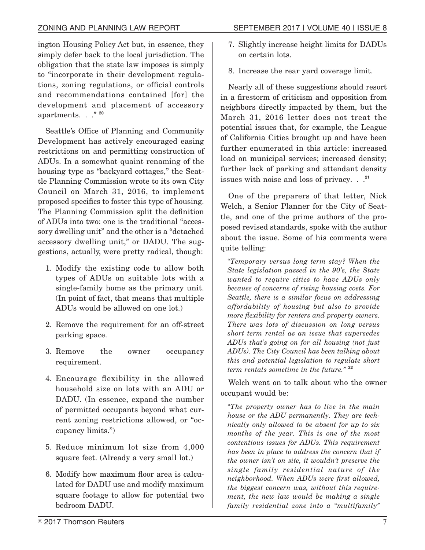ington Housing Policy Act but, in essence, they simply defer back to the local jurisdiction. The obligation that the state law imposes is simply to "incorporate in their development regulations, zoning regulations, or official controls and recommendations contained [for] the development and placement of accessory apartments. . ." **<sup>20</sup>**

Seattle's Office of Planning and Community Development has actively encouraged easing restrictions on and permitting construction of ADUs. In a somewhat quaint renaming of the housing type as "backyard cottages," the Seattle Planning Commission wrote to its own City Council on March 31, 2016, to implement proposed specifics to foster this type of housing. The Planning Commission split the definition of ADUs into two: one is the traditional "accessory dwelling unit" and the other is a "detached accessory dwelling unit," or DADU. The suggestions, actually, were pretty radical, though:

- 1. Modify the existing code to allow both types of ADUs on suitable lots with a single-family home as the primary unit. (In point of fact, that means that multiple ADUs would be allowed on one lot.)
- 2. Remove the requirement for an off-street parking space.
- 3. Remove the owner occupancy requirement.
- 4. Encourage flexibility in the allowed household size on lots with an ADU or DADU. (In essence, expand the number of permitted occupants beyond what current zoning restrictions allowed, or "occupancy limits.")
- 5. Reduce minimum lot size from 4,000 square feet. (Already a very small lot.)
- 6. Modify how maximum floor area is calculated for DADU use and modify maximum square footage to allow for potential two bedroom DADU.
- 7. Slightly increase height limits for DADUs on certain lots.
- 8. Increase the rear yard coverage limit.

Nearly all of these suggestions should resort in a firestorm of criticism and opposition from neighbors directly impacted by them, but the March 31, 2016 letter does not treat the potential issues that, for example, the League of California Cities brought up and have been further enumerated in this article: increased load on municipal services; increased density; further lack of parking and attendant density issues with noise and loss of privacy. . .**<sup>21</sup>**

One of the preparers of that letter, Nick Welch, a Senior Planner for the City of Seattle, and one of the prime authors of the proposed revised standards, spoke with the author about the issue. Some of his comments were quite telling:

*"Temporary versus long term stay? When the State legislation passed in the 90's, the State wanted to require cities to have ADUs only because of concerns of rising housing costs. For Seattle, there is a similar focus on addressing affordability of housing but also to provide more flexibility for renters and property owners. There was lots of discussion on long versus short term rental as an issue that supersedes ADUs that's going on for all housing (not just ADUs). The City Council has been talking about this and potential legislation to regulate short term rentals sometime in the future."* **<sup>22</sup>**

Welch went on to talk about who the owner occupant would be:

*"The property owner has to live in the main house or the ADU permanently. They are technically only allowed to be absent for up to six months of the year. This is one of the most contentious issues for ADUs. This requirement has been in place to address the concern that if the owner isn't on site, it wouldn't preserve the single family residential nature of the neighborhood. When ADUs were first allowed, the biggest concern was, without this requirement, the new law would be making a single family residential zone into a "multifamily"*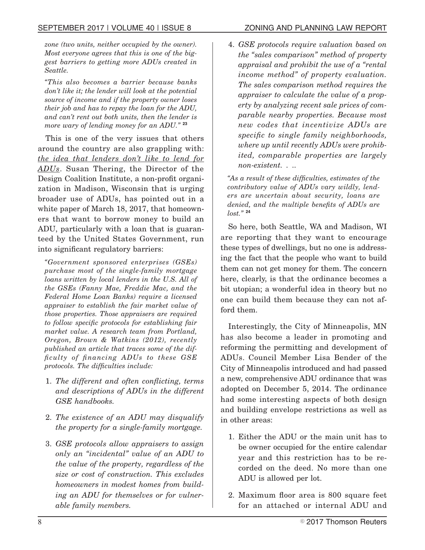*zone (two units, neither occupied by the owner). Most everyone agrees that this is one of the biggest barriers to getting more ADUs created in Seattle.*

*"This also becomes a barrier because banks don't like it; the lender will look at the potential source of income and if the property owner loses their job and has to repay the loan for the ADU, and can't rent out both units, then the lender is more wary of lending money for an ADU."* **<sup>23</sup>**

This is one of the very issues that others around the country are also grappling with: *the idea that lenders don't like to lend for ADUs*. Susan Thering, the Director of the Design Coalition Institute, a non-profit organization in Madison, Wisconsin that is urging broader use of ADUs, has pointed out in a white paper of March 18, 2017, that homeowners that want to borrow money to build an ADU, particularly with a loan that is guaranteed by the United States Government, run into significant regulatory barriers:

*"Government sponsored enterprises (GSEs) purchase most of the single-family mortgage loans written by local lenders in the U.S. All of the GSEs (Fanny Mae, Freddie Mac, and the Federal Home Loan Banks) require a licensed appraiser to establish the fair market value of those properties. Those appraisers are required to follow specific protocols for establishing fair market value. A research team from Portland, Oregon, Brown & Watkins (2012), recently published an article that traces some of the difficulty of financing ADUs to these GSE protocols. The difficulties include:*

- 1. *The different and often conflicting, terms and descriptions of ADUs in the different GSE handbooks.*
- 2. *The existence of an ADU may disqualify the property for a single-family mortgage.*
- 3. *GSE protocols allow appraisers to assign only an "incidental" value of an ADU to the value of the property, regardless of the size or cost of construction. This excludes homeowners in modest homes from building an ADU for themselves or for vulnerable family members.*

4. *GSE protocols require valuation based on the "sales comparison" method of property appraisal and prohibit the use of a "rental income method" of property evaluation. The sales comparison method requires the appraiser to calculate the value of a property by analyzing recent sale prices of comparable nearby properties. Because most new codes that incentivize ADUs are specific to single family neighborhoods, where up until recently ADUs were prohibited, comparable properties are largely non-existent. . ..*

*"As a result of these difficulties, estimates of the contributory value of ADUs vary wildly, lenders are uncertain about security, loans are denied, and the multiple benefits of ADUs are lost."* **<sup>24</sup>**

So here, both Seattle, WA and Madison, WI are reporting that they want to encourage these types of dwellings, but no one is addressing the fact that the people who want to build them can not get money for them. The concern here, clearly, is that the ordinance becomes a bit utopian; a wonderful idea in theory but no one can build them because they can not afford them.

Interestingly, the City of Minneapolis, MN has also become a leader in promoting and reforming the permitting and development of ADUs. Council Member Lisa Bender of the City of Minneapolis introduced and had passed a new, comprehensive ADU ordinance that was adopted on December 5, 2014. The ordinance had some interesting aspects of both design and building envelope restrictions as well as in other areas:

- 1. Either the ADU or the main unit has to be owner occupied for the entire calendar year and this restriction has to be recorded on the deed. No more than one ADU is allowed per lot.
- 2. Maximum floor area is 800 square feet for an attached or internal ADU and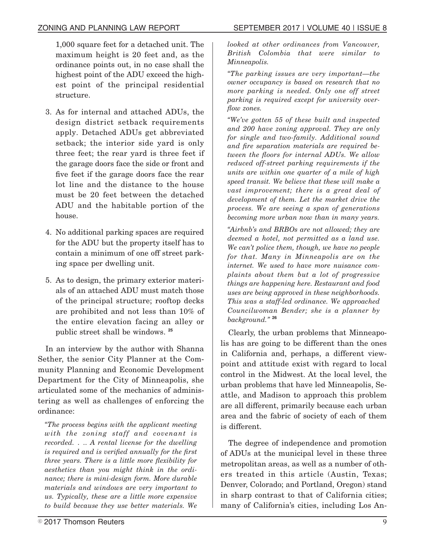1,000 square feet for a detached unit. The maximum height is 20 feet and, as the ordinance points out, in no case shall the highest point of the ADU exceed the highest point of the principal residential structure.

- 3. As for internal and attached ADUs, the design district setback requirements apply. Detached ADUs get abbreviated setback; the interior side yard is only three feet; the rear yard is three feet if the garage doors face the side or front and five feet if the garage doors face the rear lot line and the distance to the house must be 20 feet between the detached ADU and the habitable portion of the house.
- 4. No additional parking spaces are required for the ADU but the property itself has to contain a minimum of one off street parking space per dwelling unit.
- 5. As to design, the primary exterior materials of an attached ADU must match those of the principal structure; rooftop decks are prohibited and not less than 10% of the entire elevation facing an alley or public street shall be windows. **<sup>25</sup>**

In an interview by the author with Shanna Sether, the senior City Planner at the Community Planning and Economic Development Department for the City of Minneapolis, she articulated some of the mechanics of administering as well as challenges of enforcing the ordinance:

*"The process begins with the applicant meeting with the zoning staff and covenant is recorded. . .. A rental license for the dwelling is required and is verified annually for the first three years. There is a little more flexibility for aesthetics than you might think in the ordinance; there is mini-design form. More durable materials and windows are very important to us. Typically, these are a little more expensive to build because they use better materials. We* *looked at other ordinances from Vancouver, British Colombia that were similar to Minneapolis.*

*"The parking issues are very important—the owner occupancy is based on research that no more parking is needed. Only one off street parking is required except for university overflow zones.*

*"We've gotten 55 of these built and inspected and 200 have zoning approval. They are only for single and two-family. Additional sound and fire separation materials are required between the floors for internal ADUs. We allow reduced off-street parking requirements if the units are within one quarter of a mile of high speed transit. We believe that these will make a vast improvement; there is a great deal of development of them. Let the market drive the process. We are seeing a span of generations becoming more urban now than in many years.*

*"Airbnb's and BRBOs are not allowed; they are deemed a hotel, not permitted as a land use. We can't police them, though, we have no people for that. Many in Minneapolis are on the internet. We used to have more nuisance complaints about them but a lot of progressive things are happening here. Restaurant and food uses are being approved in these neighborhoods. This was a staff-led ordinance. We approached Councilwoman Bender; she is a planner by background."* **<sup>26</sup>**

Clearly, the urban problems that Minneapolis has are going to be different than the ones in California and, perhaps, a different viewpoint and attitude exist with regard to local control in the Midwest. At the local level, the urban problems that have led Minneapolis, Seattle, and Madison to approach this problem are all different, primarily because each urban area and the fabric of society of each of them is different.

The degree of independence and promotion of ADUs at the municipal level in these three metropolitan areas, as well as a number of others treated in this article (Austin, Texas; Denver, Colorado; and Portland, Oregon) stand in sharp contrast to that of California cities; many of California's cities, including Los An-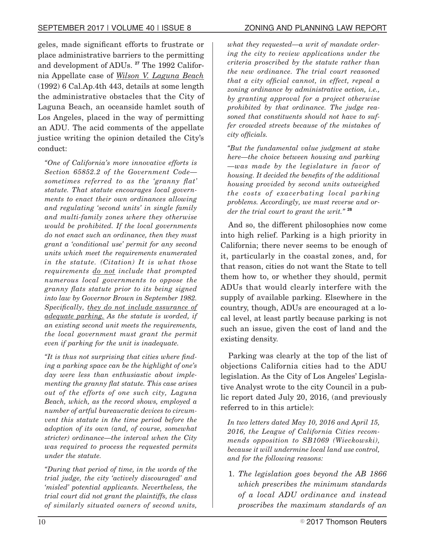geles, made significant efforts to frustrate or place administrative barriers to the permitting and development of ADUs. **<sup>27</sup>** The 1992 California Appellate case of *Wilson V. Laguna Beach* (1992) 6 Cal.Ap.4th 443, details at some length the administrative obstacles that the City of Laguna Beach, an oceanside hamlet south of Los Angeles, placed in the way of permitting an ADU. The acid comments of the appellate justice writing the opinion detailed the City's conduct:

*"One of California's more innovative efforts is Section 65852.2 of the Government Code sometimes referred to as the 'granny flat' statute. That statute encourages local governments to enact their own ordinances allowing and regulating 'second units' in single family and multi-family zones where they otherwise would be prohibited. If the local governments do not enact such an ordinance, then they must grant a 'conditional use' permit for any second units which meet the requirements enumerated in the statute. (Citation) It is what those requirements do not include that prompted numerous local governments to oppose the granny flats statute prior to its being signed into law by Governor Brown in September 1982. Specifically, they do not include assurance of adequate parking. As the statute is worded, if an existing second unit meets the requirements, the local government must grant the permit even if parking for the unit is inadequate.*

*"It is thus not surprising that cities where finding a parking space can be the highlight of one's day were less than enthusiastic about implementing the granny flat statute. This case arises out of the efforts of one such city, Laguna Beach, which, as the record shows, employed a number of artful bureaucratic devices to circumvent this statute in the time period before the adoption of its own (and, of course, somewhat stricter) ordinance—the interval when the City was required to process the requested permits under the statute.*

*"During that period of time, in the words of the trial judge, the city 'actively discouraged' and 'misled' potential applicants. Nevertheless, the trial court did not grant the plaintiffs, the class of similarly situated owners of second units,*

*what they requested—a writ of mandate ordering the city to review applications under the criteria proscribed by the statute rather than the new ordinance. The trial court reasoned that a city official cannot, in effect, repeal a zoning ordinance by administrative action, i.e., by granting approval for a project otherwise prohibited by that ordinance. The judge reasoned that constituents should not have to suffer crowded streets because of the mistakes of city officials.*

*"But the fundamental value judgment at stake here—the choice between housing and parking —was made by the legislature in favor of housing. It decided the benefits of the additional housing provided by second units outweighed the costs of exacerbating local parking problems. Accordingly, we must reverse and order the trial court to grant the writ."* **<sup>28</sup>**

And so, the different philosophies now come into high relief. Parking is a high priority in California; there never seems to be enough of it, particularly in the coastal zones, and, for that reason, cities do not want the State to tell them how to, or whether they should, permit ADUs that would clearly interfere with the supply of available parking. Elsewhere in the country, though, ADUs are encouraged at a local level, at least partly because parking is not such an issue, given the cost of land and the existing density.

Parking was clearly at the top of the list of objections California cities had to the ADU legislation. As the City of Los Angeles' Legislative Analyst wrote to the city Council in a public report dated July 20, 2016, (and previously referred to in this article):

*In two letters dated May 10, 2016 and April 15, 2016, the League of California Cities recommends opposition to SB1069 (Wieckowski), because it will undermine local land use control, and for the following reasons:*

1. *The legislation goes beyond the AB 1866 which prescribes the minimum standards of a local ADU ordinance and instead proscribes the maximum standards of an*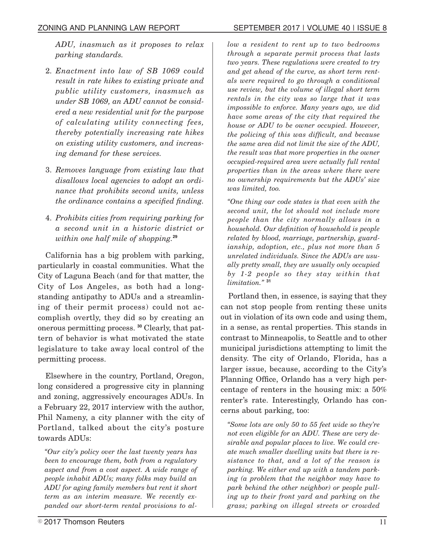*ADU, inasmuch as it proposes to relax parking standards.*

- 2. *Enactment into law of SB 1069 could result in rate hikes to existing private and public utility customers, inasmuch as under SB 1069, an ADU cannot be considered a new residential unit for the purpose of calculating utility connecting fees, thereby potentially increasing rate hikes on existing utility customers, and increasing demand for these services.*
- 3. *Removes language from existing law that disallows local agencies to adopt an ordinance that prohibits second units, unless the ordinance contains a specified finding.*
- 4. *Prohibits cities from requiring parking for a second unit in a historic district or within one half mile of shopping.***<sup>29</sup>**

California has a big problem with parking, particularly in coastal communities. What the City of Laguna Beach (and for that matter, the City of Los Angeles, as both had a longstanding antipathy to ADUs and a streamlining of their permit process) could not accomplish overtly, they did so by creating an onerous permitting process. **<sup>30</sup>** Clearly, that pattern of behavior is what motivated the state legislature to take away local control of the permitting process.

Elsewhere in the country, Portland, Oregon, long considered a progressive city in planning and zoning, aggressively encourages ADUs. In a February 22, 2017 interview with the author, Phil Nameny, a city planner with the city of Portland, talked about the city's posture towards ADUs:

*"Our city's policy over the last twenty years has been to encourage them, both from a regulatory aspect and from a cost aspect. A wide range of people inhabit ADUs; many folks may build an ADU for aging family members but rent it short term as an interim measure. We recently expanded our short-term rental provisions to al-* *low a resident to rent up to two bedrooms through a separate permit process that lasts two years. These regulations were created to try and get ahead of the curve, as short term rentals were required to go through a conditional use review, but the volume of illegal short term rentals in the city was so large that it was impossible to enforce. Many years ago, we did have some areas of the city that required the house or ADU to be owner occupied. However, the policing of this was difficult, and because the same area did not limit the size of the ADU, the result was that more properties in the owner occupied-required area were actually full rental properties than in the areas where there were no ownership requirements but the ADUs' size was limited, too.*

*"One thing our code states is that even with the second unit, the lot should not include more people than the city normally allows in a household. Our definition of household is people related by blood, marriage, partnership, guardianship, adoption, etc., plus not more than 5 unrelated individuals. Since the ADUs are usually pretty small, they are usually only occupied by 1-2 people so they stay within that limitation."* **<sup>31</sup>**

Portland then, in essence, is saying that they can not stop people from renting these units out in violation of its own code and using them, in a sense, as rental properties. This stands in contrast to Minneapolis, to Seattle and to other municipal jurisdictions attempting to limit the density. The city of Orlando, Florida, has a larger issue, because, according to the City's Planning Office, Orlando has a very high percentage of renters in the housing mix: a 50% renter's rate. Interestingly, Orlando has concerns about parking, too:

*"Some lots are only 50 to 55 feet wide so they're not even eligible for an ADU. These are very desirable and popular places to live. We could create much smaller dwelling units but there is resistance to that, and a lot of the reason is parking. We either end up with a tandem parking (a problem that the neighbor may have to park behind the other neighbor) or people pulling up to their front yard and parking on the grass; parking on illegal streets or crowded*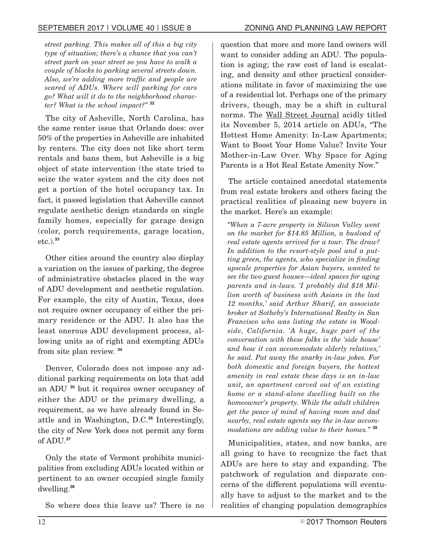*street parking. This makes all of this a big city type of situation; there's a chance that you can't street park on your street so you have to walk a couple of blocks to parking several streets down. Also, we're adding more traffic and people are scared of ADUs. Where will parking for cars go? What will it do to the neighborhood character? What is the school impact?"* **<sup>32</sup>**

The city of Asheville, North Carolina, has the same renter issue that Orlando does: over 50% of the properties in Asheville are inhabited by renters. The city does not like short term rentals and bans them, but Asheville is a big object of state intervention (the state tried to seize the water system and the city does not get a portion of the hotel occupancy tax. In fact, it passed legislation that Asheville cannot regulate aesthetic design standards on single family homes, especially for garage design (color, porch requirements, garage location, etc.).**<sup>33</sup>**

Other cities around the country also display a variation on the issues of parking, the degree of administrative obstacles placed in the way of ADU development and aesthetic regulation. For example, the city of Austin, Texas, does not require owner occupancy of either the primary residence or the ADU. It also has the least onerous ADU development process, allowing units as of right and exempting ADUs from site plan review. **<sup>34</sup>**

Denver, Colorado does not impose any additional parking requirements on lots that add an ADU **<sup>35</sup>** but it requires owner occupancy of either the ADU or the primary dwelling, a requirement, as we have already found in Seattle and in Washington, D.C.**<sup>36</sup>** Interestingly, the city of New York does not permit any form of ADU.**<sup>37</sup>**

Only the state of Vermont prohibits municipalities from excluding ADUs located within or pertinent to an owner occupied single family dwelling.**<sup>38</sup>**

So where does this leave us? There is no

question that more and more land owners will want to consider adding an ADU. The population is aging; the raw cost of land is escalating, and density and other practical considerations militate in favor of maximizing the use of a residential lot. Perhaps one of the primary drivers, though, may be a shift in cultural norms. The Wall Street Journal acidly titled its November 5, 2014 article on ADUs, "The Hottest Home Amenity: In-Law Apartments; Want to Boost Your Home Value? Invite Your Mother-in-Law Over. Why Space for Aging Parents is a Hot Real Estate Amenity Now."

The article contained anecdotal statements from real estate brokers and others facing the practical realities of pleasing new buyers in the market. Here's an example:

*"When a 7-acre property in Silicon Valley went on the market for \$14.85 Million, a busload of real estate agents arrived for a tour. The draw? In addition to the resort-style pool and a putting green, the agents, who specialize in finding upscale properties for Asian buyers, wanted to see the two guest houses—ideal spaces for aging parents and in-laws. 'I probably did \$18 Million worth of business with Asians in the last 12 months,' said Arthur Sharif, an associate broker at Sotheby's International Realty in San Francisco who was listing the estate in Woodside, California. 'A huge, huge part of the conversation with these folks is the 'side house' and how it can accommodate elderly relatives,' he said. Put away the snarky in-law jokes. For both domestic and foreign buyers, the hottest amenity in real estate these days is an in-law unit, an apartment carved out of an existing home or a stand-alone dwelling built on the homeowner's property. While the adult children get the peace of mind of having mom and dad nearby, real estate agents say the in-law accommodations are adding value to their homes."* **<sup>39</sup>**

Municipalities, states, and now banks, are all going to have to recognize the fact that ADUs are here to stay and expanding. The patchwork of regulation and disparate concerns of the different populations will eventually have to adjust to the market and to the realities of changing population demographics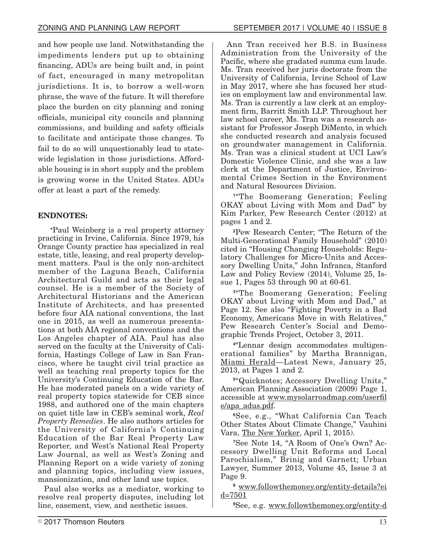and how people use land. Notwithstanding the impediments lenders put up to obtaining financing, ADUs are being built and, in point of fact, encouraged in many metropolitan jurisdictions. It is, to borrow a well-worn phrase, the wave of the future. It will therefore place the burden on city planning and zoning officials, municipal city councils and planning commissions, and building and safety officials to facilitate and anticipate those changes. To fail to do so will unquestionably lead to statewide legislation in those jurisdictions. Affordable housing is in short supply and the problem is growing worse in the United States. ADUs

## **ENDNOTES:**

offer at least a part of the remedy.

**\***Paul Weinberg is a real property attorney practicing in Irvine, California. Since 1979, his Orange County practice has specialized in real estate, title, leasing, and real property development matters. Paul is the only non-architect member of the Laguna Beach, California Architectural Guild and acts as their legal counsel. He is a member of the Society of Architectural Historians and the American Institute of Architects, and has presented before four AIA national conventions, the last one in 2015, as well as numerous presentations at both AIA regional conventions and the Los Angeles chapter of AIA. Paul has also served on the faculty at the University of California, Hastings College of Law in San Francisco, where he taught civil trial practice as well as teaching real property topics for the University's Continuing Education of the Bar. He has moderated panels on a wide variety of real property topics statewide for CEB since 1988, and authored one of the main chapters on quiet title law in CEB's seminal work, *Real Property Remedies*. He also authors articles for the University of California's Continuing Education of the Bar Real Property Law Reporter, and West's National Real Property Law Journal, as well as West's Zoning and Planning Report on a wide variety of zoning and planning topics, including view issues, mansionization, and other land use topics.

Paul also works as a mediator, working to resolve real property disputes, including lot line, easement, view, and aesthetic issues.

Ann Tran received her B.S. in Business Administration from the University of the Pacific, where she gradated summa cum laude. Ms. Tran received her juris doctorate from the University of California, Irvine School of Law in May 2017, where she has focused her studies on employment law and environmental law. Ms. Tran is currently a law clerk at an employment firm, Barritt Smith LLP. Throughout her law school career, Ms. Tran was a research assistant for Professor Joseph DiMento, in which she conducted research and analysis focused on groundwater management in California. Ms. Tran was a clinical student at UCI Law's Domestic Violence Clinic, and she was a law clerk at the Department of Justice, Environmental Crimes Section in the Environment and Natural Resources Division.

**1** "The Boomerang Generation; Feeling OKAY about Living with Mom and Dad" by Kim Parker, Pew Research Center (2012) at pages 1 and 2.

**<sup>2</sup>**Pew Research Center; "The Return of the Multi-Generational Family Household" (2010) cited in "Housing Changing Households: Regulatory Challenges for Micro-Units and Accessory Dwelling Units," John Infranca, Stanford Law and Policy Review (2014), Volume 25, Issue 1, Pages 53 through 90 at 60-61.

**3** "The Boomerang Generation; Feeling OKAY about Living with Mom and Dad," at Page 12. See also "Fighting Poverty in a Bad Economy, Americans Move in with Relatives," Pew Research Center's Social and Demographic Trends Project, October 3, 2011.

**4** "Lennar design accommodates multigenerational families" by Martha Brannigan, Miami Herald—Latest News, January 25, 2013, at Pages 1 and 2.

**5** "Quicknotes; Accessory Dwelling Units," American Planning Association (2009) Page 1, accessible at www.mysolarroadmap.com/userfil e/apa\_adus.pdf.

**<sup>6</sup>**See, e.g., "What California Can Teach Other States About Climate Change," Vauhini Vara, The New Yorker, April 1, 2015).

**7**See Note 14, "A Room of One's Own? Accessory Dwelling Unit Reforms and Local Parochialism," Brinig and Garnett; Urban Lawyer, Summer 2013, Volume 45, Issue 3 at Page 9.

**<sup>8</sup>** www.followthemoney.org/entity-details?ei d=7501

**<sup>9</sup>**See, e.g. www.followthemoney.org/entity-d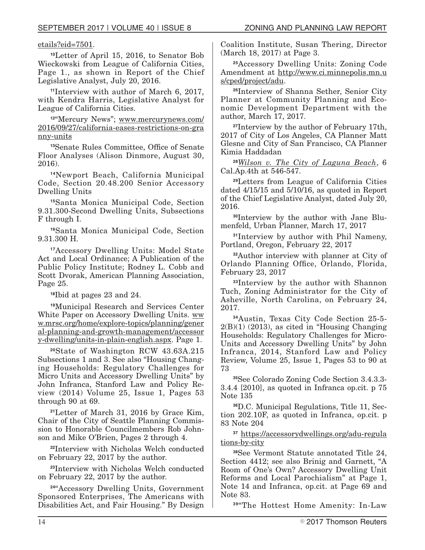## etails?eid=7501.

**<sup>10</sup>**Letter of April 15, 2016, to Senator Bob Wieckowski from League of California Cities, Page 1., as shown in Report of the Chief Legislative Analyst, July 20, 2016.

**<sup>11</sup>**Interview with author of March 6, 2017, with Kendra Harris, Legislative Analyst for League of California Cities.

**<sup>12</sup>**"Mercury News"; www.mercurynews.com/ 2016/09/27/california-eases-restrictions-on-gra nny-units

**<sup>13</sup>**Senate Rules Committee, Office of Senate Floor Analyses (Alison Dinmore, August 30, 2016).

**<sup>14</sup>**Newport Beach, California Municipal Code, Section 20.48.200 Senior Accessory Dwelling Units

**<sup>15</sup>**Santa Monica Municipal Code, Section 9.31.300-Second Dwelling Units, Subsections F through I.

**<sup>16</sup>**Santa Monica Municipal Code, Section 9.31.300 H.

**<sup>17</sup>**Accessory Dwelling Units: Model State Act and Local Ordinance; A Publication of the Public Policy Institute; Rodney L. Cobb and Scott Dvorak, American Planning Association, Page 25.

**<sup>18</sup>**Ibid at pages 23 and 24.

**<sup>19</sup>**Municipal Research and Services Center White Paper on Accessory Dwelling Units. ww w.mrsc.org/home/explore-topics/planning/gener al-planning-and-growth-management/accessor y-dwelling/units-in-plain-english.aspx. Page 1.

**<sup>20</sup>**State of Washington RCW 43.63A.215 Subsections 1 and 3. See also "Housing Changing Households: Regulatory Challenges for Micro Units and Accessory Dwelling Units" by John Infranca, Stanford Law and Policy Review (2014) Volume 25, Issue 1, Pages 53 through 90 at 69.

**<sup>21</sup>**Letter of March 31, 2016 by Grace Kim, Chair of the City of Seattle Planning Commission to Honorable Councilmembers Rob Johnson and Mike O'Brien, Pages 2 through 4.

**<sup>22</sup>**Interview with Nicholas Welch conducted on February 22, 2017 by the author.

**<sup>23</sup>**Interview with Nicholas Welch conducted on February 22, 2017 by the author.

**<sup>24</sup>**"Accessory Dwelling Units, Government Sponsored Enterprises, The Americans with Disabilities Act, and Fair Housing." By Design Coalition Institute, Susan Thering, Director (March 18, 2017) at Page 3.

**<sup>25</sup>**Accessory Dwelling Units: Zoning Code Amendment at http://www.ci.minnepolis.mn.u s/cped/project/adu.

**<sup>26</sup>**Interview of Shanna Sether, Senior City Planner at Community Planning and Economic Development Department with the author, March 17, 2017.

**<sup>27</sup>**Interview by the author of February 17th, 2017 of City of Los Angeles, CA Planner Matt Glesne and City of San Francisco, CA Planner Kimia Haddadan

**<sup>28</sup>***Wilson v. The City of Laguna Beach*, 6 Cal.Ap.4th at 546-547.

**<sup>29</sup>**Letters from League of California Cities dated 4/15/15 and 5/10/16, as quoted in Report of the Chief Legislative Analyst, dated July 20, 2016.

**30**Interview by the author with Jane Blumenfeld, Urban Planner, March 17, 2017

**<sup>31</sup>**Interview by author with Phil Nameny, Portland, Oregon, February 22, 2017

**<sup>32</sup>**Author interview with planner at City of Orlando Planning Office, Orlando, Florida, February 23, 2017

**<sup>33</sup>**Interview by the author with Shannon Tuch, Zoning Administrator for the City of Asheville, North Carolina, on February 24, 2017.

**<sup>34</sup>**Austin, Texas City Code Section 25-5-  $2(B)(1)$  (2013), as cited in "Housing Changing" Households: Regulatory Challenges for Micro-Units and Accessory Dwelling Units" by John Infranca, 2014, Stanford Law and Policy Review, Volume 25, Issue 1, Pages 53 to 90 at 73

**<sup>35</sup>**See Colorado Zoning Code Section 3.4.3.3- 3.4.4 [2010], as quoted in Infranca op.cit. p 75 Note 135

**36**D.C. Municipal Regulations, Title 11, Section 202.10F, as quoted in Infranca, op.cit. p 83 Note 204

**<sup>37</sup>** https://accessorydwellings.org/adu-regula tions-by-city

**<sup>38</sup>**See Vermont Statute annotated Title 24, Section 4412; see also Brinig and Garnett, "A Room of One's Own? Accessory Dwelling Unit Reforms and Local Parochialism" at Page 1, Note 14 and Infranca, op.cit. at Page 69 and Note 83.

**<sup>39</sup>**"The Hottest Home Amenity: In-Law